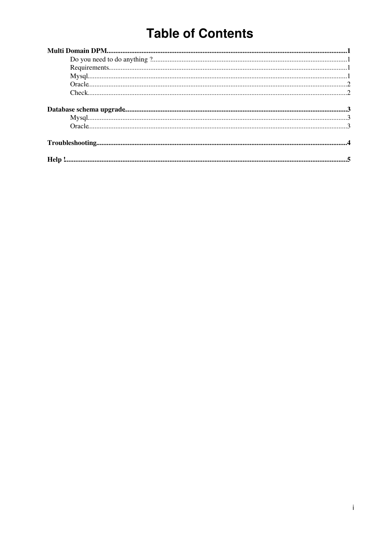## **Table of Contents**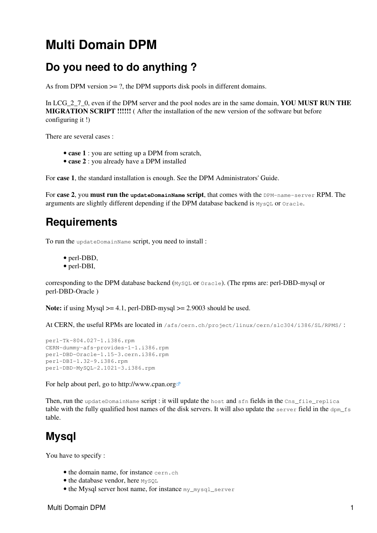### <span id="page-1-0"></span>**Multi Domain DPM**

#### <span id="page-1-1"></span>**Do you need to do anything ?**

As from DPM version  $\geq$  2, the DPM supports disk pools in different domains.

In LCG\_2\_7\_0, even if the DPM server and the pool nodes are in the same domain, **YOU MUST RUN THE MIGRATION SCRIPT !!!!!!** ( After the installation of the new version of the software but before configuring it !)

There are several cases :

- **case 1** : you are setting up a DPM from scratch,
- **case 2** : you already have a DPM installed

For **case 1**, the standard installation is enough. See the [DPM Administrators' Guide](https://twiki.cern.ch/twiki/bin/view/LCG/DpmAdminGuide).

For **case 2**, you **must run the updateDomainName script**, that comes with the DPM-name-server RPM. The arguments are slightly different depending if the DPM database backend is  $MysgL$  or  $Oracle$ .

#### <span id="page-1-2"></span>**Requirements**

To run the updateDomainName script, you need to install :

- perl-DBD,
- perl-DBI,

corresponding to the DPM database backend (MySQL or Oracle). (The rpms are: perl-DBD-mysql or perl-DBD-Oracle )

**Note:** if using  $Mysql \ge 4.1$ , perl-DBD-mysql  $\ge 2.9003$  should be used.

At CERN, the useful RPMs are located in /afs/cern.ch/project/linux/cern/slc304/i386/SL/RPMS/ :

```
perl-Tk-804.027-1.i386.rpm
CERN-dummy-afs-provides-1-1.i386.rpm
perl-DBD-Oracle-1.15-3.cern.i386.rpm
perl-DBI-1.32-9.i386.rpm
perl-DBD-MySQL-2.1021-3.i386.rpm
```
For help about perl, go to <http://www.cpan.org>

Then, run the updateDomainName script : it will update the host and sfn fields in the Cns\_file\_replica table with the fully qualified host names of the disk servers. It will also update the server field in the  $\text{dpm}_\text{f}$ s table.

#### <span id="page-1-3"></span>**Mysql**

You have to specify :

- the domain name, for instance cern.ch
- the database vendor, here MySQL
- the Mysql server host name, for instance my\_mysql\_server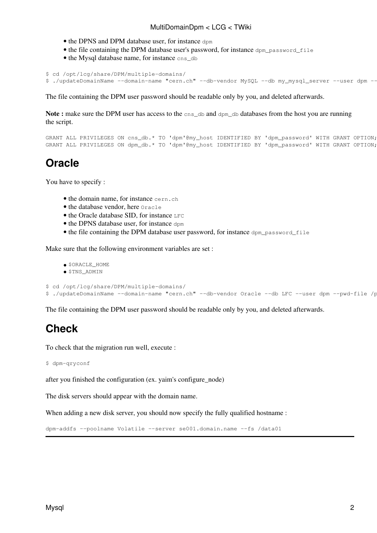- the DPNS and DPM database user, for instance dpm
- the file containing the DPM database user's password, for instance  $dpm_{\text{p}}$  password file
- the Mysql database name, for instance cns\_db

```
$ cd /opt/lcg/share/DPM/multiple-domains/
$ ./updateDomainName --domain-name "cern.ch" --db-vendor MySQL --db my_mysql_server --user dpm --
```
The file containing the DPM user password should be readable only by you, and deleted afterwards.

**Note :** make sure the DPM user has access to the cns\_db and dpm\_db databases from the host you are running the script.

```
GRANT ALL PRIVILEGES ON cns_db.* TO 'dpm'@my_host IDENTIFIED BY 'dpm_password' WITH GRANT OPTION;
GRANT ALL PRIVILEGES ON dpm_db.* TO 'dpm'@my_host IDENTIFIED BY 'dpm_password' WITH GRANT OPTION;
```
#### <span id="page-2-0"></span>**Oracle**

You have to specify :

- the domain name, for instance cern, ch
- the database vendor, here Oracle
- the Oracle database SID, for instance LFC
- the DPNS database user, for instance dpm
- the file containing the DPM database user password, for instance dpm password file

Make sure that the following environment variables are set :

```
• $ORACLE_HOME
```
• \$TNS\_ADMIN

```
$ cd /opt/lcg/share/DPM/multiple-domains/
$ ./updateDomainName --domain-name "cern.ch" --db-vendor Oracle --db LFC --user dpm --pwd-file /p
```
The file containing the DPM user password should be readable only by you, and deleted afterwards.

#### <span id="page-2-1"></span>**Check**

To check that the migration run well, execute :

```
$ dpm-qryconf
```
after you finished the configuration (ex. yaim's configure\_node)

The disk servers should appear with the domain name.

When adding a new disk server, you should now specify the fully qualified hostname :

```
dpm-addfs --poolname Volatile --server se001.domain.name --fs /data01
```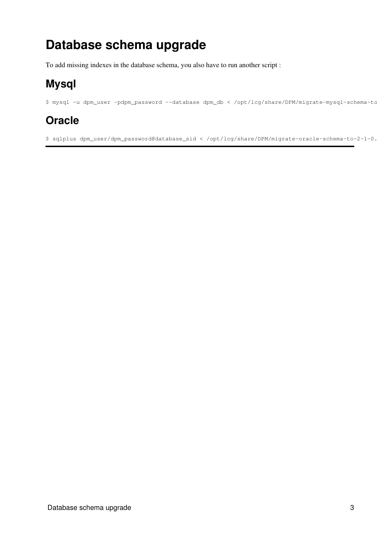## <span id="page-3-0"></span>**Database schema upgrade**

To add missing indexes in the database schema, you also have to run another script :

### <span id="page-3-1"></span>**Mysql**

\$ mysql -u dpm\_user -pdpm\_password --database dpm\_db < /opt/lcg/share/DPM/migrate-mysql-schema-to

### <span id="page-3-2"></span>**Oracle**

\$ sqlplus dpm\_user/dpm\_password@database\_sid < /opt/lcg/share/DPM/migrate-oracle-schema-to-2-1-0.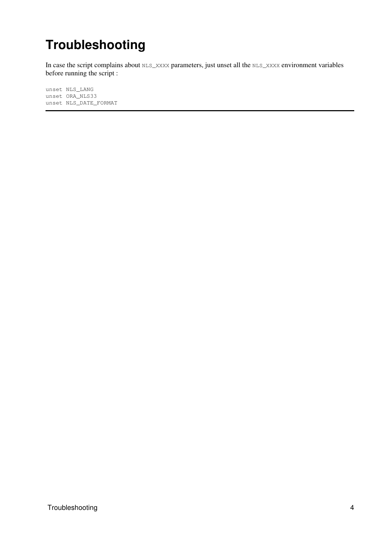## <span id="page-4-0"></span>**Troubleshooting**

In case the script complains about NLS\_XXXX parameters, just unset all the NLS\_XXXX environment variables before running the script :

unset NLS\_LANG unset ORA\_NLS33 unset NLS\_DATE\_FORMAT